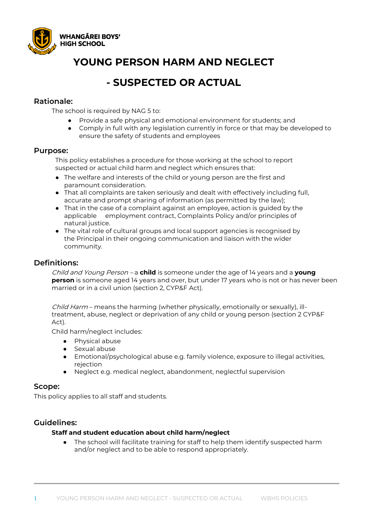

# **YOUNG PERSON HARM AND NEGLECT**

## **- SUSPECTED OR ACTUAL**

### **Rationale:**

The school is required by NAG 5 to:

- Provide a safe physical and emotional environment for students; and
- Comply in full with any legislation currently in force or that may be developed to ensure the safety of students and employees

### **Purpose:**

This policy establishes a procedure for those working at the school to report suspected or actual child harm and neglect which ensures that:

- The welfare and interests of the child or young person are the first and paramount consideration.
- That all complaints are taken seriously and dealt with effectively including full, accurate and prompt sharing of information (as permitted by the law);
- That in the case of a complaint against an employee, action is guided by the applicable employment contract, Complaints Policy and/or principles of natural justice.
- The vital role of cultural groups and local support agencies is recognised by the Principal in their ongoing communication and liaison with the wider community.

### **Definitions:**

Child and Young Person – a **child** is someone under the age of 14 years and a **young person** is someone aged 14 years and over, but under 17 years who is not or has never been married or in a civil union (section 2, CYP&F Act).

Child Harm - means the harming (whether physically, emotionally or sexually), illtreatment, abuse, neglect or deprivation of any child or young person (section 2 CYP&F Act).

Child harm/neglect includes:

- Physical abuse
- Sexual abuse
- Emotional/psychological abuse e.g. family violence, exposure to illegal activities, rejection
- Neglect e.g. medical neglect, abandonment, neglectful supervision

#### **Scope:**

This policy applies to all staff and students.

### **Guidelines:**

#### **Staff and student education about child harm/neglect**

The school will facilitate training for staff to help them identify suspected harm and/or neglect and to be able to respond appropriately.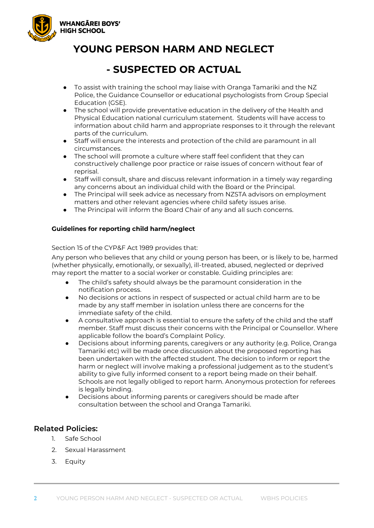

# **YOUNG PERSON HARM AND NEGLECT**

## **- SUSPECTED OR ACTUAL**

- To assist with training the school may liaise with Oranga Tamariki and the NZ Police, the Guidance Counsellor or educational psychologists from Group Special Education (GSE).
- The school will provide preventative education in the delivery of the Health and Physical Education national curriculum statement. Students will have access to information about child harm and appropriate responses to it through the relevant parts of the curriculum.
- Staff will ensure the interests and protection of the child are paramount in all circumstances.
- The school will promote a culture where staff feel confident that they can constructively challenge poor practice or raise issues of concern without fear of reprisal.
- Staff will consult, share and discuss relevant information in a timely way regarding any concerns about an individual child with the Board or the Principal.
- The Principal will seek advice as necessary from NZSTA advisors on employment matters and other relevant agencies where child safety issues arise.
- The Principal will inform the Board Chair of any and all such concerns.

#### **Guidelines for reporting child harm/neglect**

#### Section 15 of the CYP&F Act 1989 provides that:

Any person who believes that any child or young person has been, or is likely to be, harmed (whether physically, emotionally, or sexually), ill-treated, abused, neglected or deprived may report the matter to a social worker or constable. Guiding principles are:

- The child's safety should always be the paramount consideration in the notification process.
- No decisions or actions in respect of suspected or actual child harm are to be made by any staff member in isolation unless there are concerns for the immediate safety of the child.
- A consultative approach is essential to ensure the safety of the child and the staff member. Staff must discuss their concerns with the Principal or Counsellor. Where applicable follow the board's Complaint Policy.
- Decisions about informing parents, caregivers or any authority (e.g. Police, Oranga Tamariki etc) will be made once discussion about the proposed reporting has been undertaken with the affected student. The decision to inform or report the harm or neglect will involve making a professional judgement as to the student's ability to give fully informed consent to a report being made on their behalf. Schools are not legally obliged to report harm. Anonymous protection for referees is legally binding.
- Decisions about informing parents or caregivers should be made after consultation between the school and Oranga Tamariki.

### **Related Policies:**

- 1. Safe School
- 2. Sexual Harassment
- 3. Equity